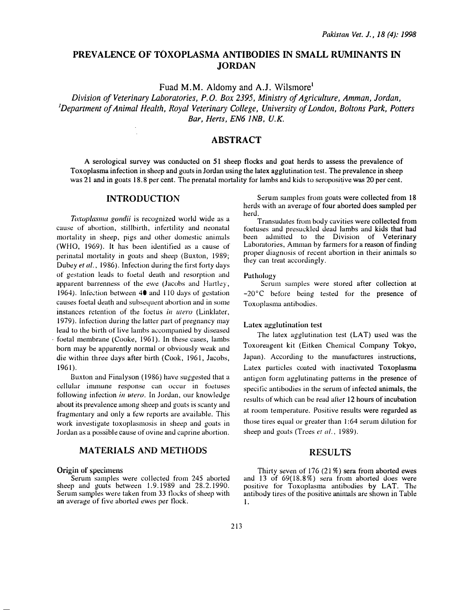# PREVALENCE OF TOXOPLASMA ANTIBODIES IN SMALL RUMINANTS IN JORDAN

Fuad M.M. Aldomy and A.J. Wilsmore<sup>1</sup>

Division of Veterinary Laboratories, P. 0. Box 2395, Ministry of Agriculture, Amman, Jordan, <sup>1</sup>Department of Animal Health, Royal Veterinary College, University of London, Boltons Park, Potters Bar, Herts, EN6 JNB, U.K.

# ABSTRACT

A serological survey was conducted on 51 sheep flocks and goat herds to assess the prevalence of Toxoplasma infection in sheep and goats in Jordan using the latex agglutination test. The prevalence in sheep was 21 and in goats 18.8 per cent. The prenatal mortality for lambs and kids to seropositive was 20 per cent.

### INTRODUCTION

Toxoplasma gondii is recognized world wide as a cause of abortion, stillbirth, infertility and neonatal mortality in sheep, pigs and other domestic animals (WHO, 1969). It has been identified as a cause of perinatal mortality in goats and sheep (Buxton, 1989; Dubey et al., 1986). Infection during the first forty days of gestation leads to foetal death and resorption and apparent barrenness of the ewe (Jacobs and Hartley, 1964). Infection between  $40$  and 110 days of gestation causes foetal death and subsequent abortion and in some instances retention of the foetus in *utero* (Linklater, 1979). Infection during the latter part of pregnancy may lead to the birth of live lambs a�companied by diseased foetal membrane (Cooke, 1961). In these cases, lambs born may be apparently normal or obviously weak and die within three days after birth (Cook, 1961, Jacobs, 1961 ).

Buxton and Finalyson (1986) have suggested that a cellular inmmne response can occur in foetuses following infection in utero. In Jordan, our knowledge about its prevalence among sheep and goats is scanty and fragmentary and only a few reports are available. This work investigate toxoplasmosis in sheep and goats in Jordan as a possible cause of ovine and caprine abortion.

## MATERIALS AND METHODS

#### Origin of specimens

Serum samples were collected from 245 aborted sheep and goats between 1.9.1989 and 28.2.1990. Serum samples were taken from 33 flocks of sheep with an average of tive aborted ewes per tlock.

Serum samples from goats were collected from 18 herds with an average of four aborted does sampled per herd.

Transudates trom body cavities were collected from foetuses and presuckled dead lambs and kids that had been admitted to the Division of Veterinary Laboratories, Amman by farmers for a reason of finding proper diagnosis of recent abortion in their animals so they can treat accordingly.

#### Pathology

Serum samples were stored after collection at -20°C before being tested for the presence of Toxoplasma antibodies.

#### Latex agglutination test

The latex agglutination test (LAT) used was the Toxoreagent kit (Eitken Chemical Company Tokyo, Japan). According to the manufactures instructions, Latex particles coated with inactivated Toxoplasma antigen form agglutinating patterns in the presence of specific antibodies in the serum of infected animals, the results of which can be read after 12 hours of incubation at room temperature. Positive results were regarded as those tires equal or greater than I :64 serum dilution for sheep and goats (Trees et al., 1989).

### RESULTS

Thirty seven of 176 (21 %) sera from aborted ewes and 13 of 69(18.8%) sera from aborted does were positive for Toxoplasma antibodies by LAT. The antibody tires of the positive animals are shown in Table 1.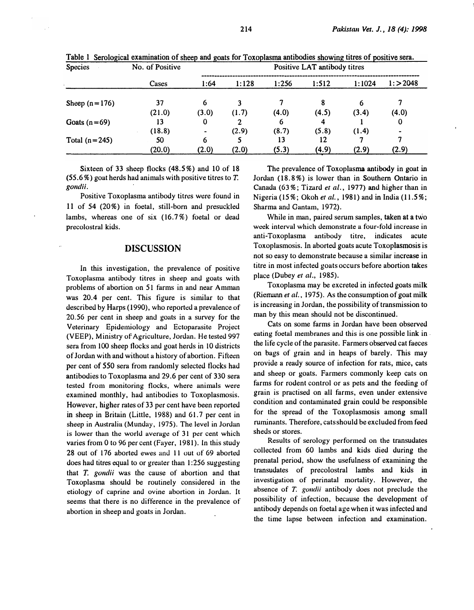| <b>Species</b>  | No. of Positive<br>Cases | Positive LAT antibody titres |       |       |       |        |        |
|-----------------|--------------------------|------------------------------|-------|-------|-------|--------|--------|
|                 |                          | 1:64                         | 1:128 | 1:256 | 1:512 | 1:1024 | 1:2048 |
| Sheep $(n=176)$ | 37                       | 6                            | 3     |       |       |        |        |
|                 | (21.0)                   | (3.0)                        | (1.7) | (4.0) | (4.5) | (3.4)  | (4.0)  |
| Goats $(n=69)$  | 13                       | 0                            | 2     | 6     | 4     |        | 0      |
|                 | (18.8)                   |                              | (2.9) | (8.7) | (5.8) | (1.4)  |        |
| Total $(n=245)$ | 50                       | 6                            |       | 13    | 12    |        |        |
|                 | (20.0)                   | (2.0)                        | (2.0) | (5.3) | (4.9) | (2.9)  | (2.9)  |

Table 1 Serological examination of sheep and goats for Toxoplasma antibodies showing titres of positive sera.

Sixteen of 33 sheep flocks (48.5%) and 10 of 18  $(55.6\%)$  goat herds had animals with positive titres to T. gondii.

Positive Toxoplasma antibody titres were found in 11 of 54 (20%) in foetal, still-born and presuckled lambs, whereas one of six (16.7%) foetal or dead precolostral kids.

## DISCUSSION

In this investigation, the prevalence of positive Toxoplasma antibody titres in sheep and goats with problems of abortion on 51 farms in and near Amman was 20.4 per cent. This figure is similar to that described by Harps (1990), who reported a prevalence of 20.56 per cent in sheep and goats in a survey for the Veterinary Epidemiology and Ectoparasite Project (VEEP), Ministry of Agriculture, Jordan. He tested 997 sera from 100 sheep tlocks and goat herds in 10 districts of Jordan with and without a history of abortion. Fifteen per cent of 550 sera from randomly selected flocks had antibodies to Toxoplasma and 29.6 per cent of 330 sera tested from monitoring flocks, where animals were examined monthly, had antibodies to Toxoplasmosis. However, higher rates of 33 per cent have been reported in sheep in Britain (Little, 1988) and 61.7 per cent in sheep in Australia (Munday, 1975). The level in Jordan is lower than the world average of 31 per cent which varies from 0 to 96 per cent (Fayer, 1981). In this study 28 out of 176 aborted ewes and II out of 69 aborted does had titres equal to or greater than 1:256 suggesting that T. gondii was the cause of abortion and that Toxoplasma should be routinely considered in the etiology of caprine and ovine abortion in Jordan. It seems that there is no difference in the prevalence of abortion in sheep and goats in Jordan.

The prevalence of Toxoplasma antibody in goat in Jordan ( 18. 8 %) is lower than in Southern Ontario in Canada (63%; Tizard et al., 1977) and higher than in Nigeria (15%; Okoh et al., 1981) and in India (11.5%; Sharma and Gantam, 1972) .

While in man, paired serum samples, taken at a two week interval which demonstrate a four-fold increase in anti-Toxoplasma antibody titre, indicates acute Toxoplasmosis. In aborted goats acute Toxoplasmosis is not so easy to demonstrate because a similar increase in titre in most infected goats occurs before abortion takes place (Dubey et al., 1985).

Toxoplasma may be excreted in infected goats milk (Riemann et al., 1975). As the consumption of goat milk is increasing in Jordan, the possibility of transmission to man by this mean should not be discontinued.

Cats on some farms in Jordan have been observed eating foetal membranes and this is one possible link in the life cycle of the parasite. Farmers observed cat faeces on hags of grain and in heaps of barely. This may provide a ready source of infection for rats, mice, cats and sheep or goats. Farmers commonly keep cats on farms for rodent control or as pets and the feeding of grain is practised on all farms, even under extensive condition and contaminated grain could he responsible for the spread of the Toxoplasmosis among small ruminants. Therefore, cats should be excluded from feed sheds or stores.

Results of serology performed on the transudates collected from 60 lambs and kids died during the prenatal period, show the usefulness of examining the transudates of precolostral lambs and kids in investigation of perinatal mortality. However, the absence of T. gondii antibody does not preclude the possibility of infection, because the development of antibody depends on foetal age when it was infected and the time lapse between infection and examination.